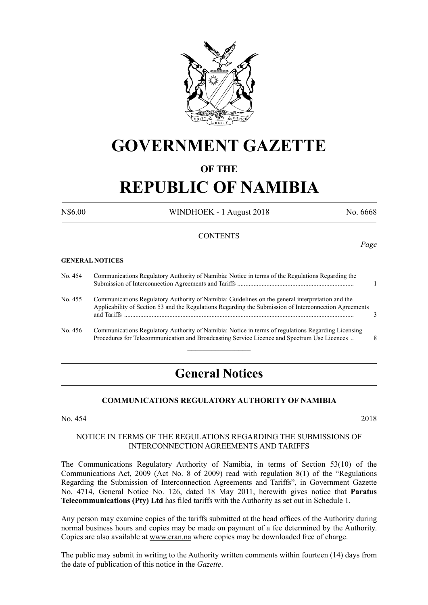

## **GOVERNMENT GAZETTE**

#### **OF THE**

# **REPUBLIC OF NAMIBIA**

N\$6.00 WINDHOEK - 1 August 2018 No. 6668

*Page*

#### **CONTENTS**

#### **GENERAL NOTICES**

| No. 454 | Communications Regulatory Authority of Namibia: Notice in terms of the Regulations Regarding the                                                                                                           |   |
|---------|------------------------------------------------------------------------------------------------------------------------------------------------------------------------------------------------------------|---|
| No. 455 | Communications Regulatory Authority of Namibia: Guidelines on the general interpretation and the<br>Applicability of Section 53 and the Regulations Regarding the Submission of Interconnection Agreements |   |
| No. 456 | Communications Regulatory Authority of Namibia: Notice in terms of regulations Regarding Licensing<br>Procedures for Telecommunication and Broadcasting Service Licence and Spectrum Use Licences          | 8 |

### **General Notices**

#### **COMMUNICATIONS REGULATORY AUTHORITY OF NAMIBIA**

No. 454 2018

#### NOTICE IN TERMS OF THE REGULATIONS REGARDING THE SUBMISSIONS OF INTERCONNECTION AGREEMENTS AND TARIFFS

The Communications Regulatory Authority of Namibia, in terms of Section 53(10) of the Communications Act, 2009 (Act No. 8 of 2009) read with regulation 8(1) of the "Regulations Regarding the Submission of Interconnection Agreements and Tariffs", in Government Gazette No. 4714, General Notice No. 126, dated 18 May 2011, herewith gives notice that **Paratus Telecommunications (Pty) Ltd** has filed tariffs with the Authority as set out in Schedule 1.

Any person may examine copies of the tariffs submitted at the head offices of the Authority during normal business hours and copies may be made on payment of a fee determined by the Authority. Copies are also available at www.cran.na where copies may be downloaded free of charge.

The public may submit in writing to the Authority written comments within fourteen (14) days from the date of publication of this notice in the *Gazette*.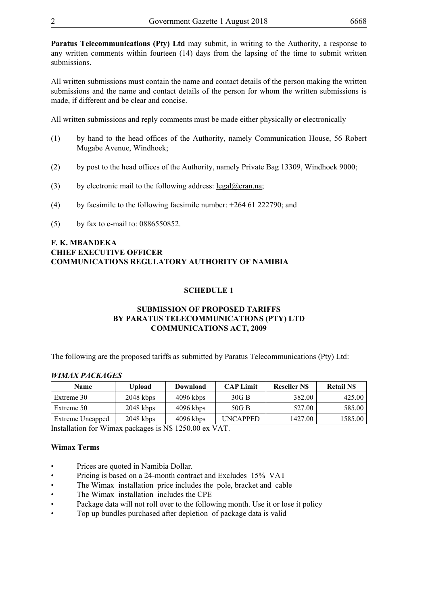**Paratus Telecommunications (Pty) Ltd** may submit, in writing to the Authority, a response to any written comments within fourteen (14) days from the lapsing of the time to submit written submissions.

All written submissions must contain the name and contact details of the person making the written submissions and the name and contact details of the person for whom the written submissions is made, if different and be clear and concise.

All written submissions and reply comments must be made either physically or electronically –

- (1) by hand to the head offices of the Authority, namely Communication House, 56 Robert Mugabe Avenue, Windhoek;
- (2) by post to the head offices of the Authority, namely Private Bag 13309, Windhoek 9000;
- (3) by electronic mail to the following address: legal@cran.na;
- (4) by facsimile to the following facsimile number: +264 61 222790; and
- (5) by fax to e-mail to: 0886550852.

#### **F. K. MBANDEKA CHIEF EXECUTIVE OFFICER COMMUNICATIONS REGULATORY AUTHORITY OF NAMIBIA**

#### **SCHEDULE 1**

#### **SUBMISSION OF PROPOSED TARIFFS BY PARATUS TELECOMMUNICATIONS (PTY) LTD COMMUNICATIONS ACT, 2009**

The following are the proposed tariffs as submitted by Paratus Telecommunications (Pty) Ltd:

#### *WIMAX PACKAGES*

| <b>Upload</b> | Download    | <b>CAP Limit</b> | <b>Reseller NS</b> | <b>Retail NS</b> |
|---------------|-------------|------------------|--------------------|------------------|
| $2048$ kbps   | $4096$ kbps | 30G B            | 382.00             | 425.00           |
| $2048$ kbps   | $4096$ kbps | 50G B            | 527.00             | 585.00           |
| $2048$ kbps   | $4096$ kbps | <b>UNCAPPED</b>  | 1427.00            | 1585.00          |
|               |             | 3 TO 1050.00     | 17 A.M             |                  |

Installation for Wimax packages is N\$ 1250.00 ex VAT.

#### **Wimax Terms**

- Prices are quoted in Namibia Dollar.
- Pricing is based on a 24-month contract and Excludes 15% VAT
- The Wimax installation price includes the pole, bracket and cable
- The Wimax installation includes the CPE
- Package data will not roll over to the following month. Use it or lose it policy
- Top up bundles purchased after depletion of package data is valid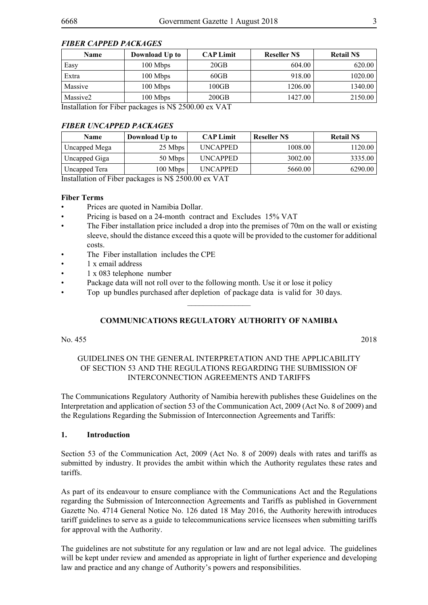#### *FIBER CAPPED PACKAGES*

| <b>Name</b>                                                    | Download Up to | <b>CAP Limit</b> | <b>Reseller NS</b> | <b>Retail NS</b> |
|----------------------------------------------------------------|----------------|------------------|--------------------|------------------|
| Easy                                                           | 100 Mbps       | 20GB             | 604.00             | 620.00           |
| Extra                                                          | 100 Mbps       | 60GB             | 918.00             | 1020.00          |
| Massive                                                        | 100 Mbps       | $100\mathrm{GB}$ | 1206.00            | 1340.00          |
| Massive2                                                       | 100 Mbps       | 200GB            | 1427.00            | 2150.00          |
| Installation for Fiber packages is $N_{\phi}$ 2500.00 ev $VAT$ |                |                  |                    |                  |

Installation for Fiber packages is N\$ 2500.00 ex VAT

#### *FIBER UNCAPPED PACKAGES*

| <b>Name</b>   | Download Up to | <b>CAP Limit</b> | <b>Reseller NS</b> | <b>Retail NS</b> |
|---------------|----------------|------------------|--------------------|------------------|
| Uncapped Mega | 25 Mbps        | <b>UNCAPPED</b>  | 1008.00            | 120.00           |
| Uncapped Giga | 50 Mbps        | <b>UNCAPPED</b>  | 3002.00            | 3335.00          |
| Uncapped Tera | 100 Mbps       | <b>UNCAPPED</b>  | 5660.00            | 6290.00          |

Installation of Fiber packages is N\$ 2500.00 ex VAT

#### **Fiber Terms**

- Prices are quoted in Namibia Dollar.
- Pricing is based on a 24-month contract and Excludes 15% VAT
- The Fiber installation price included a drop into the premises of 70m on the wall or existing sleeve, should the distance exceed this a quote will be provided to the customer for additional costs.
- The Fiber installation includes the CPE
- 1 x email address
- 1 x 083 telephone number
- Package data will not roll over to the following month. Use it or lose it policy
- Top up bundles purchased after depletion of package data is valid for 30 days.

#### **COMMUNICATIONS REGULATORY AUTHORITY OF NAMIBIA**

 $\overline{\phantom{a}}$  , where  $\overline{\phantom{a}}$ 

No. 455 2018

#### GUIDELINES ON THE GENERAL INTERPRETATION AND THE APPLICABILITY OF SECTION 53 AND THE REGULATIONS REGARDING THE SUBMISSION OF INTERCONNECTION AGREEMENTS AND TARIFFS

The Communications Regulatory Authority of Namibia herewith publishes these Guidelines on the Interpretation and application of section 53 of the Communication Act, 2009 (Act No. 8 of 2009) and the Regulations Regarding the Submission of Interconnection Agreements and Tariffs:

#### **1. Introduction**

Section 53 of the Communication Act, 2009 (Act No. 8 of 2009) deals with rates and tariffs as submitted by industry. It provides the ambit within which the Authority regulates these rates and tariffs.

As part of its endeavour to ensure compliance with the Communications Act and the Regulations regarding the Submission of Interconnection Agreements and Tariffs as published in Government Gazette No. 4714 General Notice No. 126 dated 18 May 2016, the Authority herewith introduces tariff guidelines to serve as a guide to telecommunications service licensees when submitting tariffs for approval with the Authority.

The guidelines are not substitute for any regulation or law and are not legal advice. The guidelines will be kept under review and amended as appropriate in light of further experience and developing law and practice and any change of Authority's powers and responsibilities.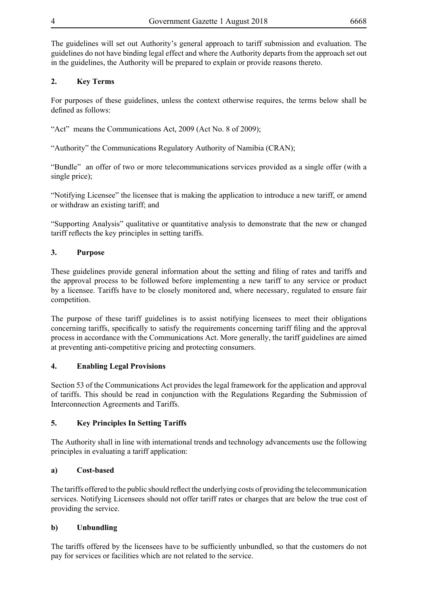The guidelines will set out Authority's general approach to tariff submission and evaluation. The guidelines do not have binding legal effect and where the Authority departs from the approach set out in the guidelines, the Authority will be prepared to explain or provide reasons thereto.

#### **2. Key Terms**

For purposes of these guidelines, unless the context otherwise requires, the terms below shall be defined as follows:

"Act" means the Communications Act, 2009 (Act No. 8 of 2009);

"Authority" the Communications Regulatory Authority of Namibia (CRAN);

"Bundle" an offer of two or more telecommunications services provided as a single offer (with a single price);

"Notifying Licensee" the licensee that is making the application to introduce a new tariff, or amend or withdraw an existing tariff; and

"Supporting Analysis" qualitative or quantitative analysis to demonstrate that the new or changed tariff reflects the key principles in setting tariffs.

#### **3. Purpose**

These guidelines provide general information about the setting and filing of rates and tariffs and the approval process to be followed before implementing a new tariff to any service or product by a licensee. Tariffs have to be closely monitored and, where necessary, regulated to ensure fair competition.

The purpose of these tariff guidelines is to assist notifying licensees to meet their obligations concerning tariffs, specifically to satisfy the requirements concerning tariff filing and the approval process in accordance with the Communications Act. More generally, the tariff guidelines are aimed at preventing anti-competitive pricing and protecting consumers.

#### **4. Enabling Legal Provisions**

Section 53 of the Communications Act provides the legal framework for the application and approval of tariffs. This should be read in conjunction with the Regulations Regarding the Submission of Interconnection Agreements and Tariffs.

#### **5. Key Principles In Setting Tariffs**

The Authority shall in line with international trends and technology advancements use the following principles in evaluating a tariff application:

#### **a) Cost-based**

The tariffs offered to the public should reflect the underlying costs of providing the telecommunication services. Notifying Licensees should not offer tariff rates or charges that are below the true cost of providing the service.

#### **b) Unbundling**

The tariffs offered by the licensees have to be sufficiently unbundled, so that the customers do not pay for services or facilities which are not related to the service.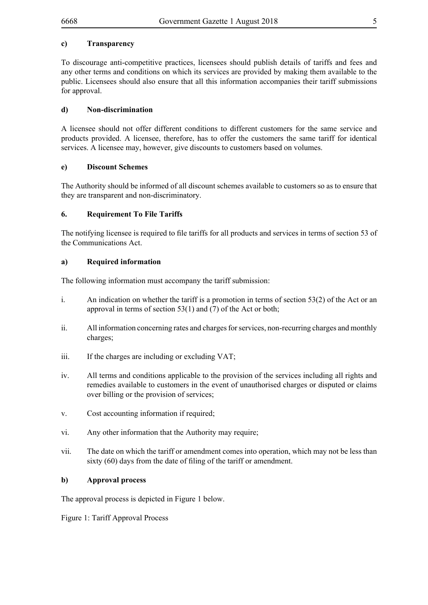#### **c) Transparency**

To discourage anti-competitive practices, licensees should publish details of tariffs and fees and any other terms and conditions on which its services are provided by making them available to the public. Licensees should also ensure that all this information accompanies their tariff submissions for approval.

#### **d) Non-discrimination**

A licensee should not offer different conditions to different customers for the same service and products provided. A licensee, therefore, has to offer the customers the same tariff for identical services. A licensee may, however, give discounts to customers based on volumes.

#### **e) Discount Schemes**

The Authority should be informed of all discount schemes available to customers so as to ensure that they are transparent and non-discriminatory.

#### **6. Requirement To File Tariffs**

The notifying licensee is required to file tariffs for all products and services in terms of section 53 of the Communications Act.

#### **a) Required information**

The following information must accompany the tariff submission:

- i. An indication on whether the tariff is a promotion in terms of section 53(2) of the Act or an approval in terms of section 53(1) and (7) of the Act or both;
- ii. All information concerning rates and charges for services, non-recurring charges and monthly charges;
- iii. If the charges are including or excluding VAT;
- iv. All terms and conditions applicable to the provision of the services including all rights and remedies available to customers in the event of unauthorised charges or disputed or claims over billing or the provision of services;
- v. Cost accounting information if required;
- vi. Any other information that the Authority may require;
- vii. The date on which the tariff or amendment comes into operation, which may not be less than sixty (60) days from the date of filing of the tariff or amendment.

#### **b) Approval process**

The approval process is depicted in Figure 1 below.

Figure 1: Tariff Approval Process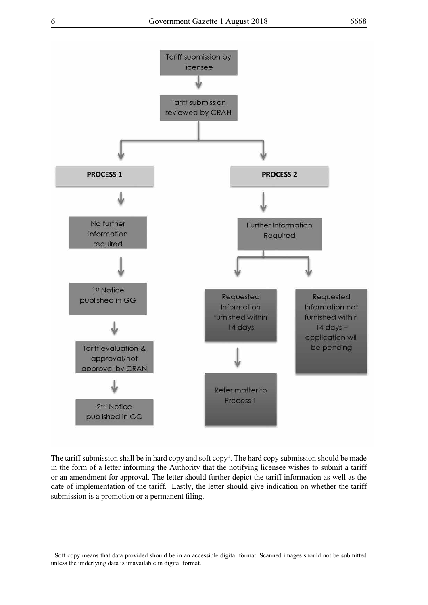

The tariff submission shall be in hard copy and soft copy<sup>1</sup>. The hard copy submission should be made in the form of a letter informing the Authority that the notifying licensee wishes to submit a tariff or an amendment for approval. The letter should further depict the tariff information as well as the date of implementation of the tariff. Lastly, the letter should give indication on whether the tariff submission is a promotion or a permanent filing.

<sup>1</sup> Soft copy means that data provided should be in an accessible digital format. Scanned images should not be submitted unless the underlying data is unavailable in digital format.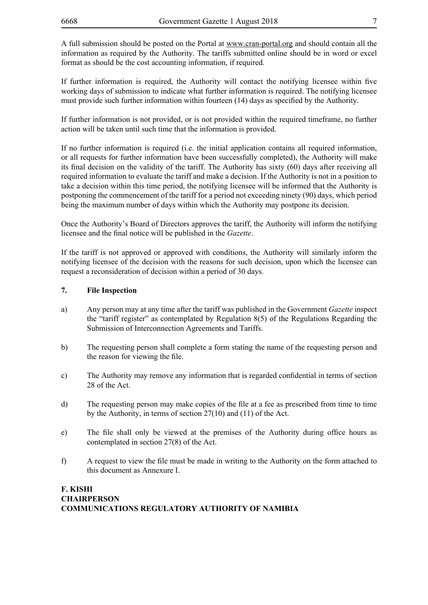A full submission should be posted on the Portal at www.cran-portal.org and should contain all the information as required by the Authority. The tariffs submitted online should be in word or excel format as should be the cost accounting information, if required.

If further information is required, the Authority will contact the notifying licensee within five working days of submission to indicate what further information is required. The notifying licensee must provide such further information within fourteen (14) days as specified by the Authority.

If further information is not provided, or is not provided within the required timeframe, no further action will be taken until such time that the information is provided.

If no further information is required (i.e. the initial application contains all required information, or all requests for further information have been successfully completed), the Authority will make its final decision on the validity of the tariff. The Authority has sixty (60) days after receiving all required information to evaluate the tariff and make a decision. If the Authority is not in a position to take a decision within this time period, the notifying licensee will be informed that the Authority is postponing the commencement of the tariff for a period not exceeding ninety (90) days, which period being the maximum number of days within which the Authority may postpone its decision.

Once the Authority's Board of Directors approves the tariff, the Authority will inform the notifying licensee and the final notice will be published in the *Gazette*.

If the tariff is not approved or approved with conditions, the Authority will similarly inform the notifying licensee of the decision with the reasons for such decision, upon which the licensee can request a reconsideration of decision within a period of 30 days.

#### **7. File Inspection**

- a) Any person may at any time after the tariff was published in the Government *Gazette* inspect the "tariff register" as contemplated by Regulation 8(5) of the Regulations Regarding the Submission of Interconnection Agreements and Tariffs.
- b) The requesting person shall complete a form stating the name of the requesting person and the reason for viewing the file.
- c) The Authority may remove any information that is regarded confidential in terms of section 28 of the Act.
- d) The requesting person may make copies of the file at a fee as prescribed from time to time by the Authority, in terms of section 27(10) and (11) of the Act.
- e) The file shall only be viewed at the premises of the Authority during office hours as contemplated in section 27(8) of the Act.
- f) A request to view the file must be made in writing to the Authority on the form attached to this document as Annexure I.

#### **F. KISHI CHAIRPERSON COMMUNICATIONS REGULATORY AUTHORITY OF NAMIBIA**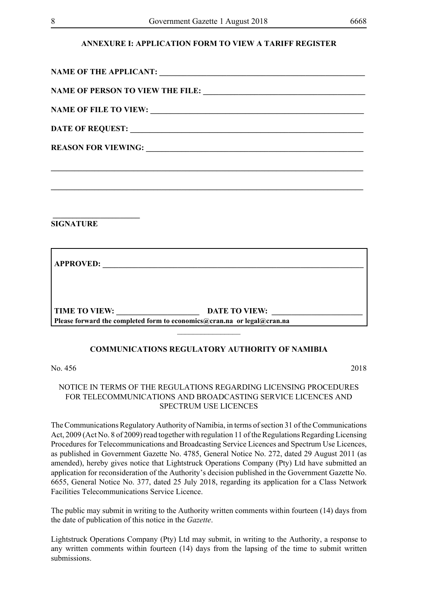#### **ANNEXURE I: APPLICATION FORM TO VIEW A TARIFF REGISTER**

| <b>SIGNATURE</b> |                                                                         |
|------------------|-------------------------------------------------------------------------|
|                  |                                                                         |
|                  |                                                                         |
|                  | Please forward the completed form to economics@cran.na or legal@cran.na |
|                  |                                                                         |

#### **COMMUNICATIONS REGULATORY AUTHORITY OF NAMIBIA**

#### No. 456 2018

#### NOTICE IN TERMS OF THE REGULATIONS REGARDING LICENSING PROCEDURES FOR TELECOMMUNICATIONS AND BROADCASTING SERVICE LICENCES AND SPECTRUM USE LICENCES

The Communications Regulatory Authority of Namibia, in terms of section 31 of the Communications Act, 2009 (Act No. 8 of 2009) read together with regulation 11 of the Regulations Regarding Licensing Procedures for Telecommunications and Broadcasting Service Licences and Spectrum Use Licences, as published in Government Gazette No. 4785, General Notice No. 272, dated 29 August 2011 (as amended), hereby gives notice that Lightstruck Operations Company (Pty) Ltd have submitted an application for reconsideration of the Authority's decision published in the Government Gazette No. 6655, General Notice No. 377, dated 25 July 2018, regarding its application for a Class Network Facilities Telecommunications Service Licence.

The public may submit in writing to the Authority written comments within fourteen (14) days from the date of publication of this notice in the *Gazette*.

Lightstruck Operations Company (Pty) Ltd may submit, in writing to the Authority, a response to any written comments within fourteen (14) days from the lapsing of the time to submit written submissions.